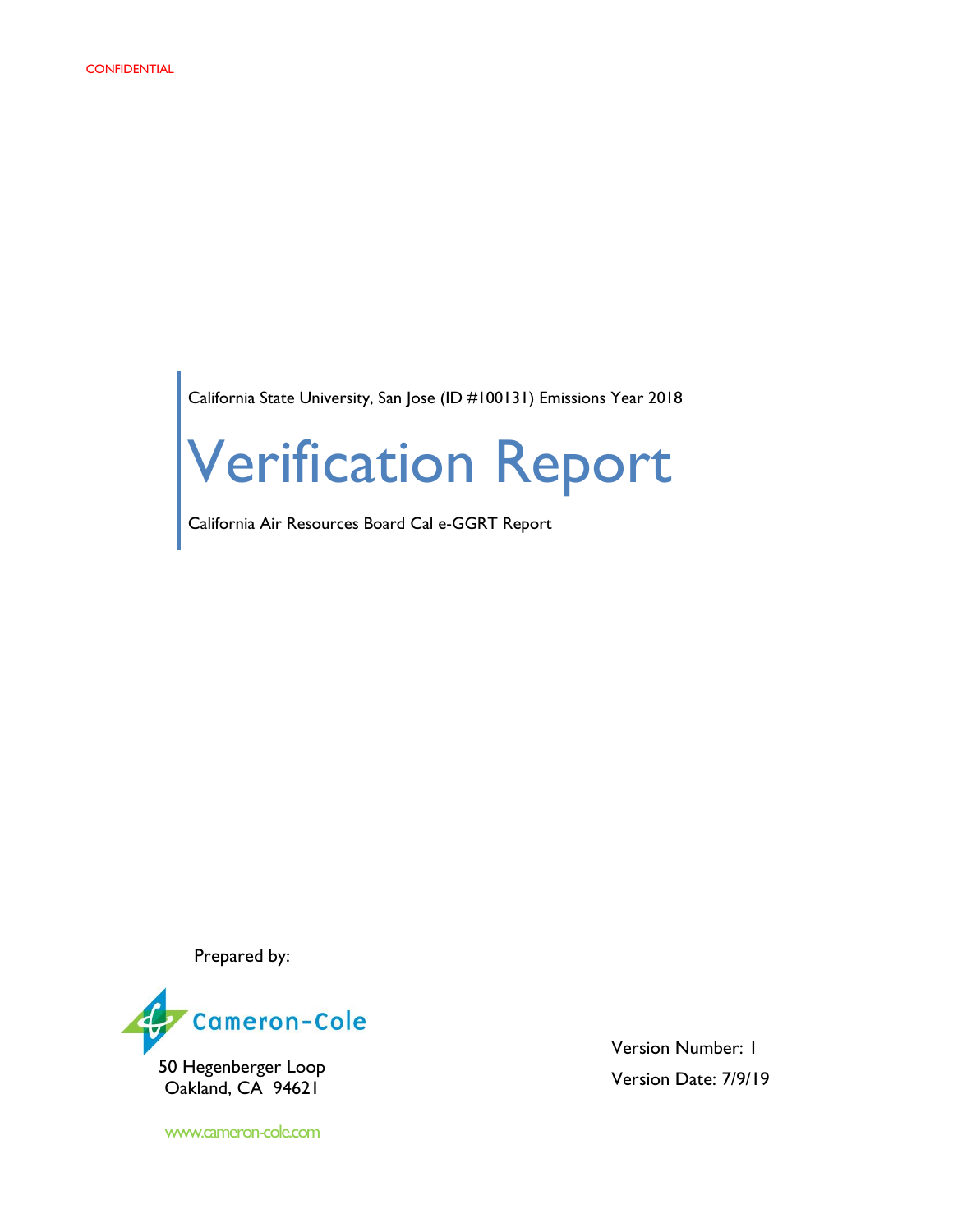California State University, San Jose (ID #100131) Emissions Year 2018

# Verification Report

California Air Resources Board Cal e-GGRT Report

Prepared by:



Oakland, CA 94621

www.cameron-cole.com

Version Number: 1 Version Date: 7/9/19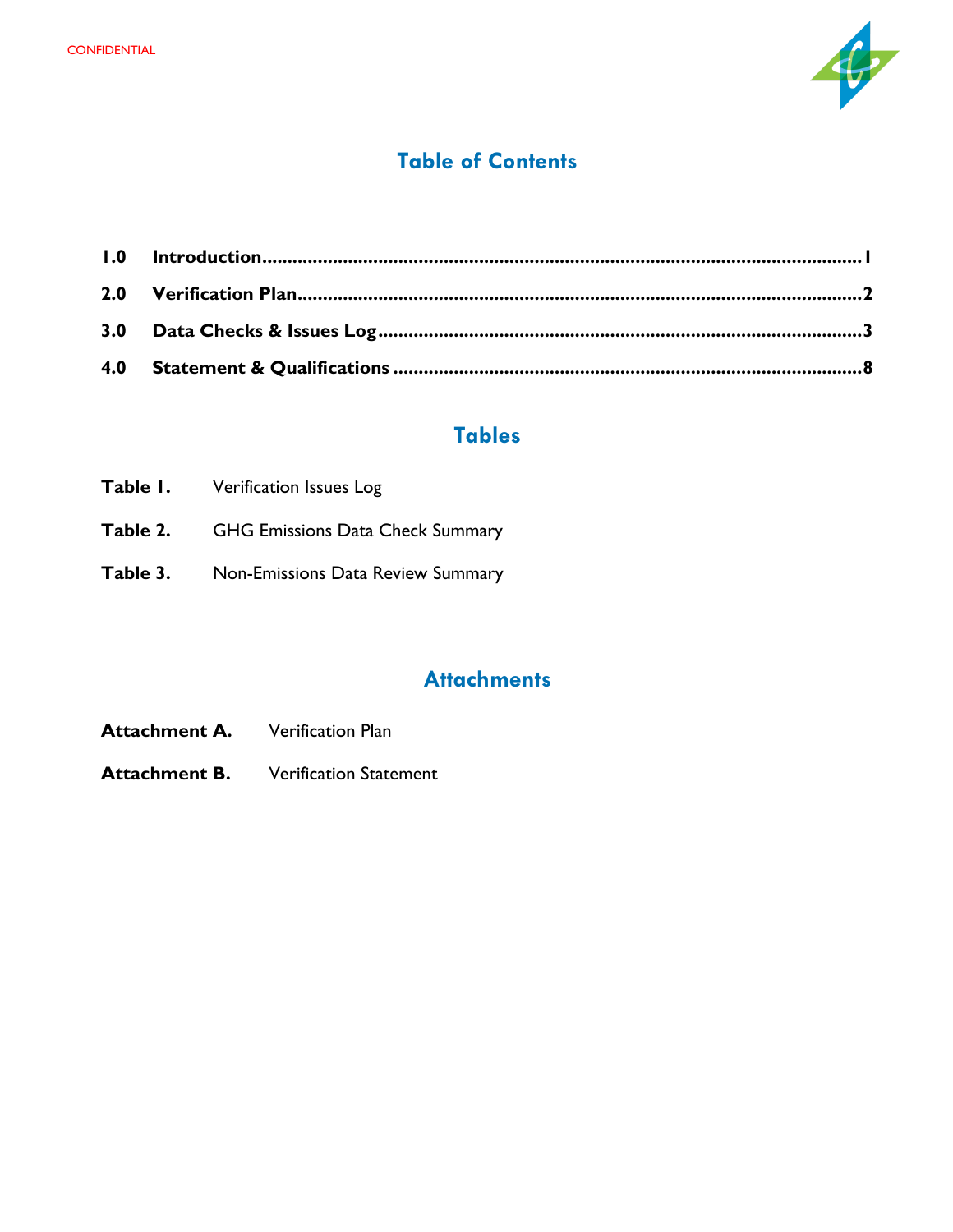

#### **Table of Contents**

# **Tables**

|          | <b>Table I.</b> Verification Issues Log          |
|----------|--------------------------------------------------|
|          | <b>Table 2.</b> GHG Emissions Data Check Summary |
| Table 3. | Non-Emissions Data Review Summary                |

# **Attachments**

- Attachment A. Verification Plan
- **Attachment B.** Verification Statement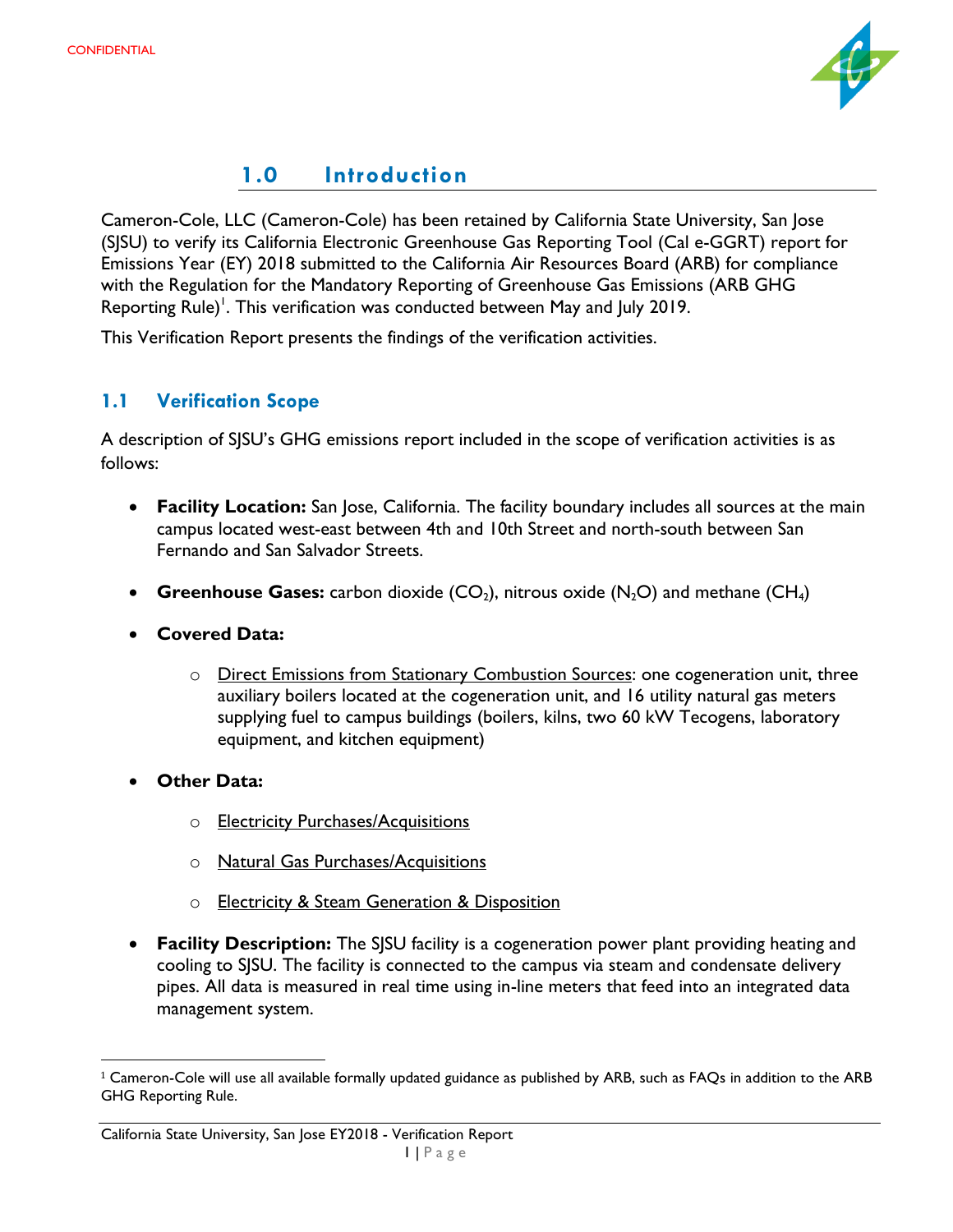

# **1.0 Introduction**

<span id="page-2-0"></span>Cameron-Cole, LLC (Cameron-Cole) has been retained by California State University, San Jose (SJSU) to verify its California Electronic Greenhouse Gas Reporting Tool (Cal e-GGRT) report for Emissions Year (EY) 2018 submitted to the California Air Resources Board (ARB) for compliance with the Regulation for the Mandatory Reporting of Greenhouse Gas Emissions (ARB GHG Reporting Rule)<sup>1</sup>. This verification was conducted between May and July 2019.

This Verification Report presents the findings of the verification activities.

#### **1.1 Verification Scope**

A description of SJSU's GHG emissions report included in the scope of verification activities is as follows:

- **Facility Location:** San Jose, California. The facility boundary includes all sources at the main campus located west-east between 4th and 10th Street and north-south between San Fernando and San Salvador Streets.
- **Greenhouse Gases:** carbon dioxide  $(CO_2)$ , nitrous oxide  $(N_2O)$  and methane  $(CH_4)$
- **Covered Data:**
	- o Direct Emissions from Stationary Combustion Sources: one cogeneration unit, three auxiliary boilers located at the cogeneration unit, and 16 utility natural gas meters supplying fuel to campus buildings (boilers, kilns, two 60 kW Tecogens, laboratory equipment, and kitchen equipment)
- **Other Data:**

 $\overline{\phantom{a}}$ 

- o **Electricity Purchases/Acquisitions**
- o Natural Gas Purchases/Acquisitions
- o Electricity & Steam Generation & Disposition
- **Facility Description:** The SJSU facility is a cogeneration power plant providing heating and cooling to SJSU. The facility is connected to the campus via steam and condensate delivery pipes. All data is measured in real time using in-line meters that feed into an integrated data management system.

<sup>&</sup>lt;sup>1</sup> Cameron-Cole will use all available formally updated guidance as published by ARB, such as FAQs in addition to the ARB GHG Reporting Rule.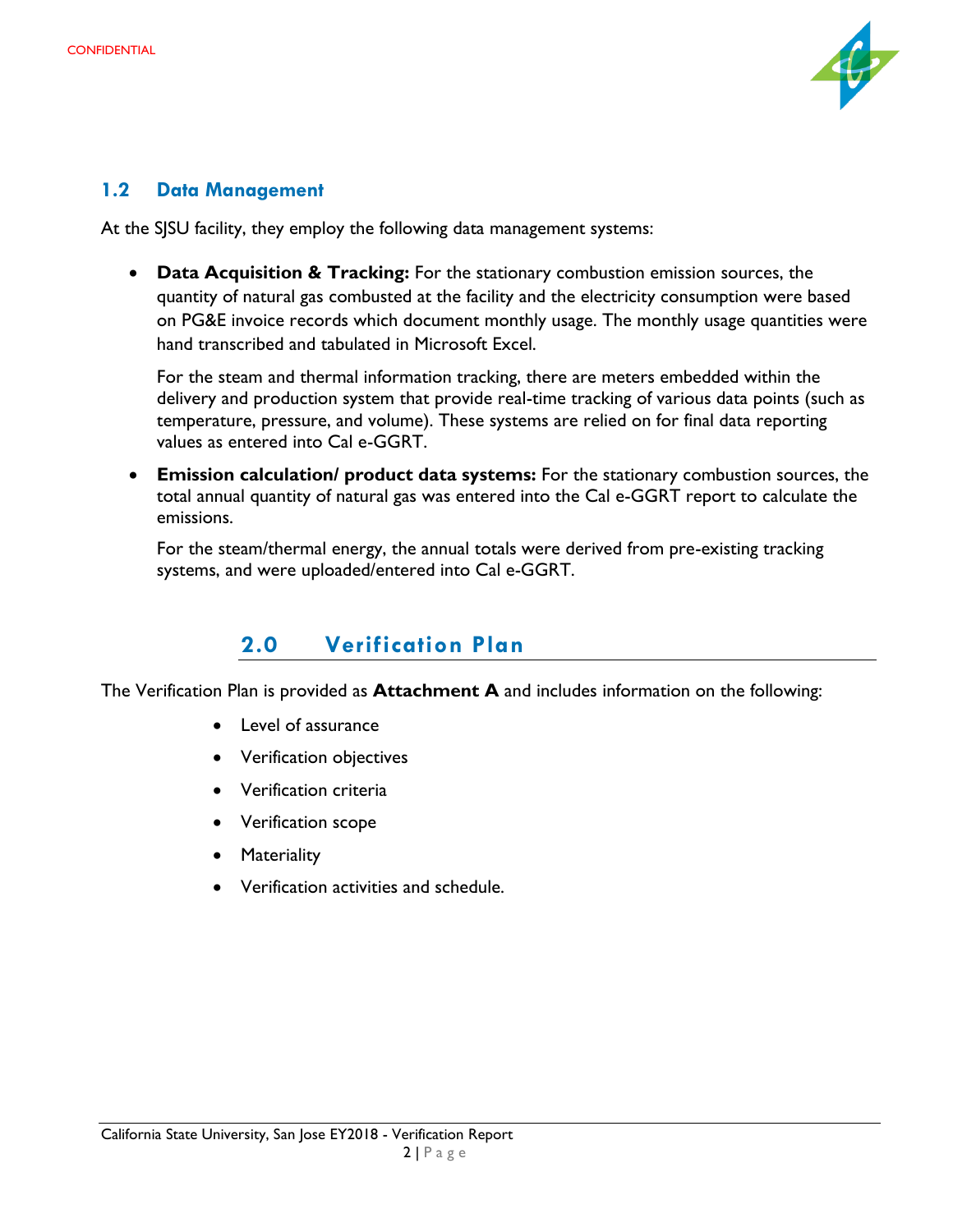

#### **1.2 Data Management**

<span id="page-3-0"></span>At the SJSU facility, they employ the following data management systems:

• **Data Acquisition & Tracking:** For the stationary combustion emission sources, the quantity of natural gas combusted at the facility and the electricity consumption were based on PG&E invoice records which document monthly usage. The monthly usage quantities were hand transcribed and tabulated in Microsoft Excel.

For the steam and thermal information tracking, there are meters embedded within the delivery and production system that provide real-time tracking of various data points (such as temperature, pressure, and volume). These systems are relied on for final data reporting values as entered into Cal e-GGRT.

• **Emission calculation/ product data systems:** For the stationary combustion sources, the total annual quantity of natural gas was entered into the Cal e-GGRT report to calculate the emissions.

For the steam/thermal energy, the annual totals were derived from pre-existing tracking systems, and were uploaded/entered into Cal e-GGRT.

# **2.0 Verification Plan**

The Verification Plan is provided as **Attachment A** and includes information on the following:

- Level of assurance
- Verification objectives
- Verification criteria
- Verification scope
- Materiality
- Verification activities and schedule.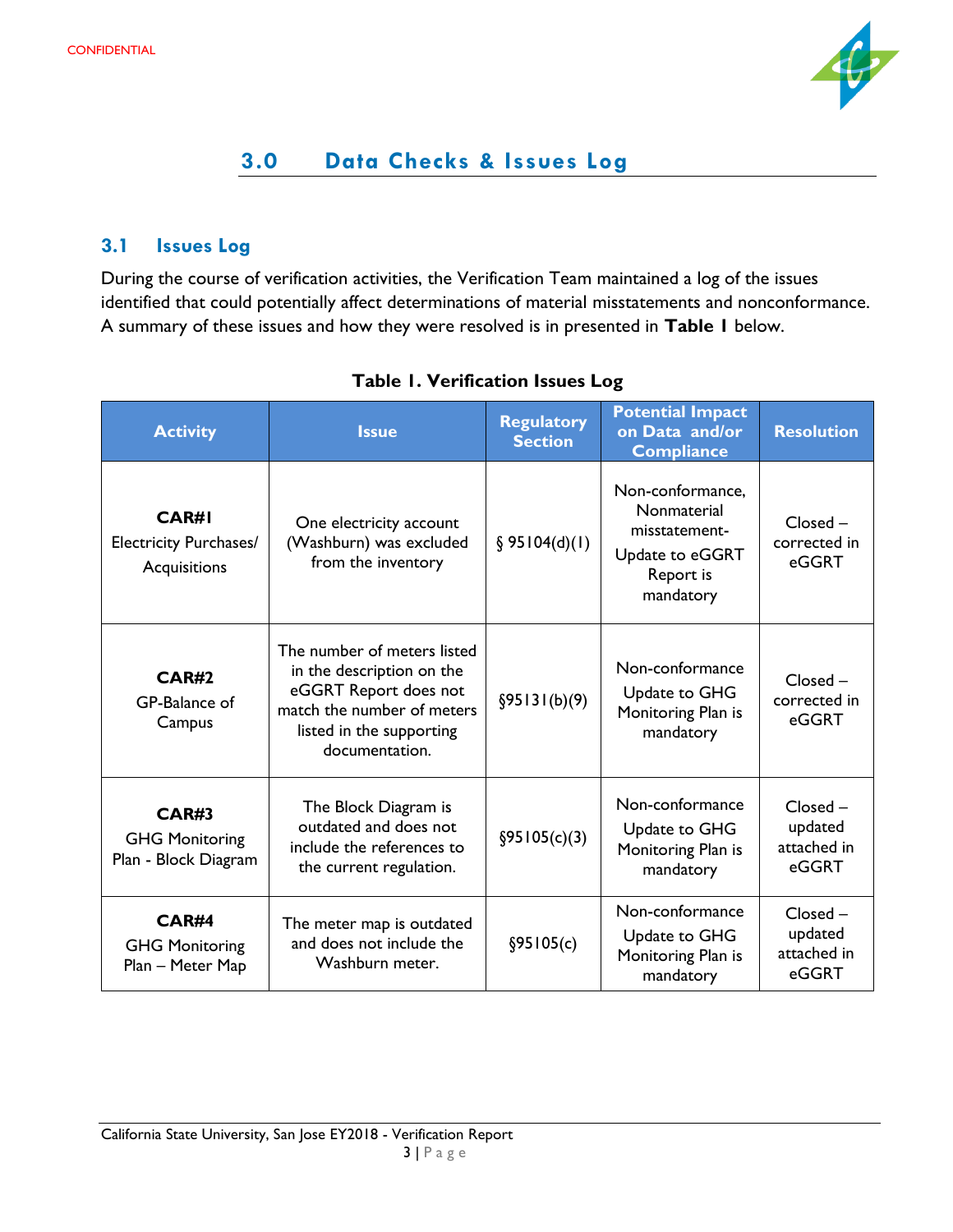

# **3.0 Data Checks & Issues Log**

#### <span id="page-4-0"></span>**3.1 Issues Log**

During the course of verification activities, the Verification Team maintained a log of the issues identified that could potentially affect determinations of material misstatements and nonconformance. A summary of these issues and how they were resolved is in presented in **Table 1** below.

| <b>Activity</b>                                               | <b>Issue</b>                                                                                                                                                  | <b>Regulatory</b><br><b>Section</b> | <b>Potential Impact</b><br>on Data and/or<br><b>Compliance</b>                                | <b>Resolution</b>                             |
|---------------------------------------------------------------|---------------------------------------------------------------------------------------------------------------------------------------------------------------|-------------------------------------|-----------------------------------------------------------------------------------------------|-----------------------------------------------|
| CAR#I<br><b>Electricity Purchases/</b><br>Acquisitions        | One electricity account<br>(Washburn) was excluded<br>from the inventory                                                                                      | § 95104(d)(1)                       | Non-conformance,<br>Nonmaterial<br>misstatement-<br>Update to eGGRT<br>Report is<br>mandatory | $Closed -$<br>corrected in<br>eGGRT           |
| <b>CAR#2</b><br>GP-Balance of<br>Campus                       | The number of meters listed<br>in the description on the<br>eGGRT Report does not<br>match the number of meters<br>listed in the supporting<br>documentation. | §95131(b)(9)                        | Non-conformance<br>Update to GHG<br>Monitoring Plan is<br>mandatory                           | $Closed -$<br>corrected in<br>eGGRT           |
| <b>CAR#3</b><br><b>GHG Monitoring</b><br>Plan - Block Diagram | The Block Diagram is<br>outdated and does not<br>include the references to<br>the current regulation.                                                         | §95105(c)(3)                        | Non-conformance<br>Update to GHG<br>Monitoring Plan is<br>mandatory                           | $Closed -$<br>updated<br>attached in<br>eGGRT |
| <b>CAR#4</b><br><b>GHG Monitoring</b><br>Plan - Meter Map     | The meter map is outdated<br>and does not include the<br>Washburn meter.                                                                                      | \$95105(c)                          | Non-conformance<br>Update to GHG<br>Monitoring Plan is<br>mandatory                           | Closed -<br>updated<br>attached in<br>eGGRT   |

#### **Table 1. Verification Issues Log**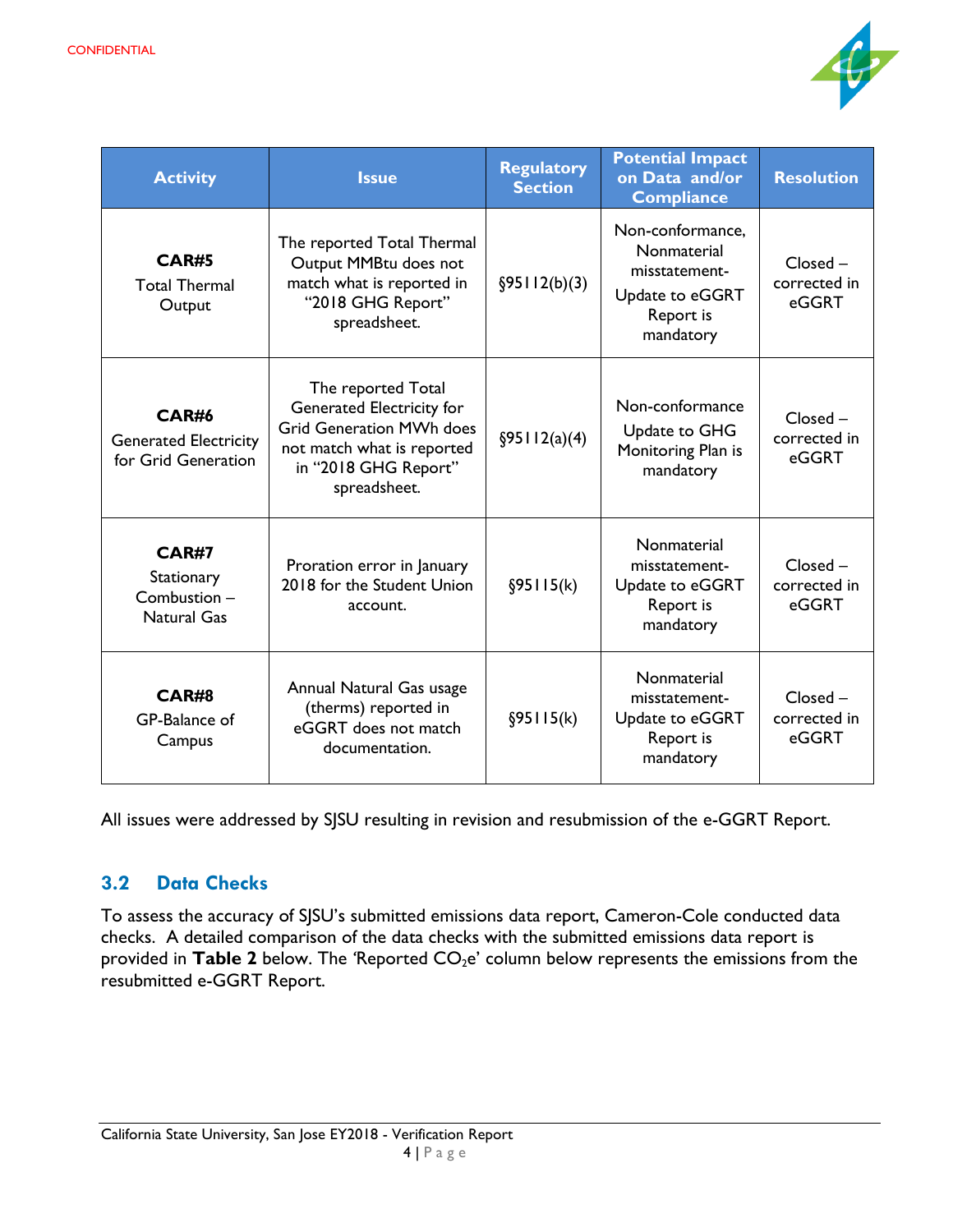

| <b>Activity</b>                                                     | <b>Issue</b>                                                                                                                                                    | <b>Regulatory</b><br><b>Section</b> | <b>Potential Impact</b><br>on Data and/or<br><b>Compliance</b>                                | <b>Resolution</b>                   |
|---------------------------------------------------------------------|-----------------------------------------------------------------------------------------------------------------------------------------------------------------|-------------------------------------|-----------------------------------------------------------------------------------------------|-------------------------------------|
| <b>CAR#5</b><br><b>Total Thermal</b><br>Output                      | The reported Total Thermal<br>Output MMBtu does not<br>match what is reported in<br>"2018 GHG Report"<br>spreadsheet.                                           | §95112(b)(3)                        | Non-conformance,<br>Nonmaterial<br>misstatement-<br>Update to eGGRT<br>Report is<br>mandatory | $Closed -$<br>corrected in<br>eGGRT |
| <b>CAR#6</b><br><b>Generated Electricity</b><br>for Grid Generation | The reported Total<br><b>Generated Electricity for</b><br><b>Grid Generation MWh does</b><br>not match what is reported<br>in "2018 GHG Report"<br>spreadsheet. | \$95112(a)(4)                       | Non-conformance<br>Update to GHG<br>Monitoring Plan is<br>mandatory                           | $Closed -$<br>corrected in<br>eGGRT |
| <b>CAR#7</b><br>Stationary<br>Combustion-<br><b>Natural Gas</b>     | Proration error in January<br>2018 for the Student Union<br>account.                                                                                            | §95115(k)                           | Nonmaterial<br>misstatement-<br>Update to eGGRT<br>Report is<br>mandatory                     | $Closed -$<br>corrected in<br>eGGRT |
| <b>CAR#8</b><br>GP-Balance of<br>Campus                             | Annual Natural Gas usage<br>(therms) reported in<br>eGGRT does not match<br>documentation.                                                                      | §95115(k)                           | Nonmaterial<br>misstatement-<br>Update to eGGRT<br>Report is<br>mandatory                     | $Closed -$<br>corrected in<br>eGGRT |

All issues were addressed by SJSU resulting in revision and resubmission of the e-GGRT Report.

#### **3.2 Data Checks**

To assess the accuracy of SJSU's submitted emissions data report, Cameron-Cole conducted data checks. A detailed comparison of the data checks with the submitted emissions data report is provided in Table 2 below. The 'Reported CO<sub>2</sub>e' column below represents the emissions from the resubmitted e-GGRT Report.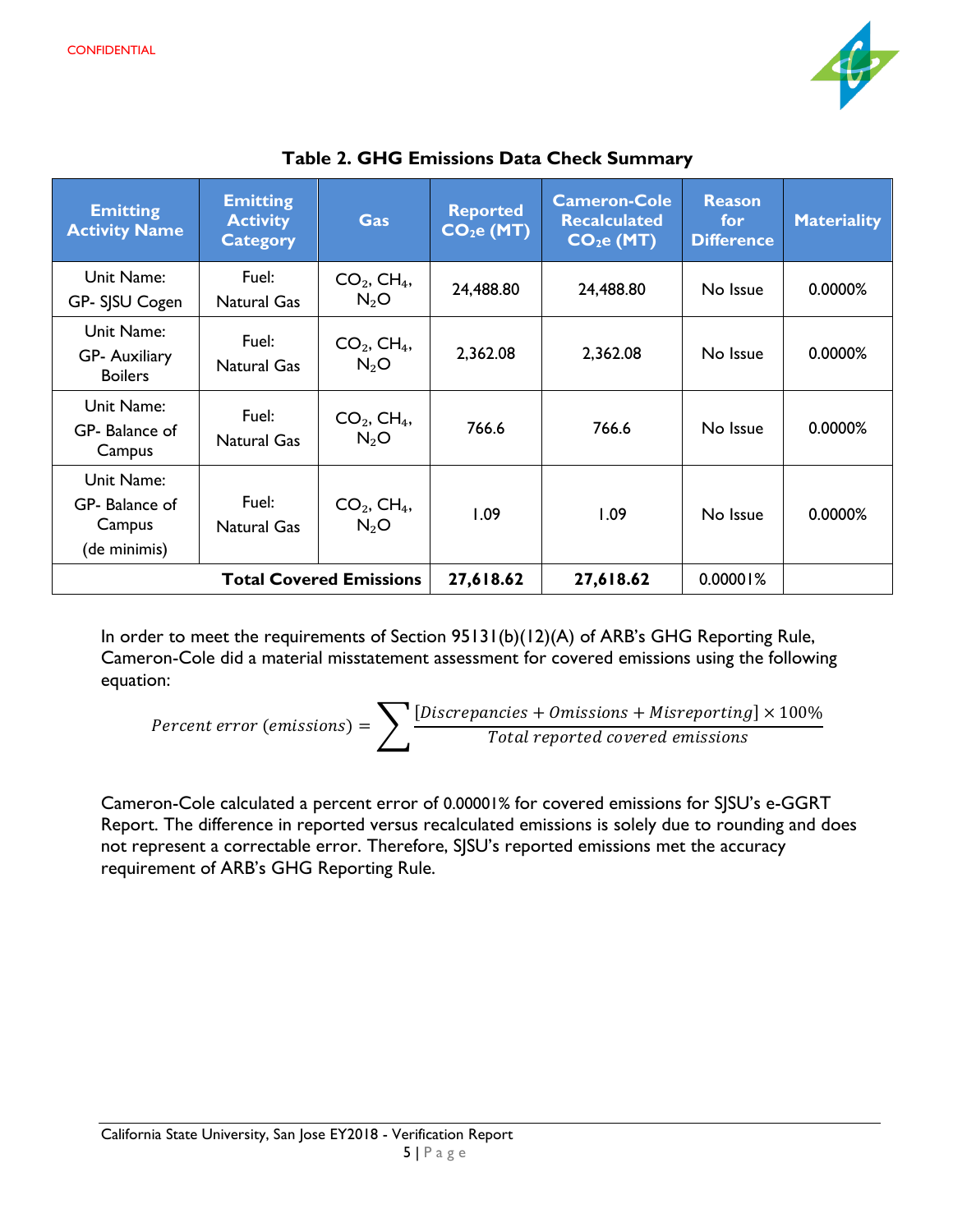

| <b>Emitting</b><br><b>Activity Name</b>                | <b>Emitting</b><br><b>Activity</b><br><b>Category</b> | Gas                                 | <b>Reported</b><br>CO <sub>2</sub> e (MT) | <b>Cameron-Cole</b><br><b>Recalculated</b><br>CO <sub>2</sub> e (MT) | <b>Reason</b><br>for<br><b>Difference</b> | <b>Materiality</b> |
|--------------------------------------------------------|-------------------------------------------------------|-------------------------------------|-------------------------------------------|----------------------------------------------------------------------|-------------------------------------------|--------------------|
| Unit Name:<br>GP- SJSU Cogen                           | Fuel:<br><b>Natural Gas</b>                           | $CO2$ , CH <sub>4</sub> ,<br>$N_2O$ | 24,488.80                                 | 24,488.80                                                            | No Issue                                  | 0.0000%            |
| Unit Name:<br><b>GP- Auxiliary</b><br><b>Boilers</b>   | Fuel:<br><b>Natural Gas</b>                           | $CO2$ , CH <sub>4</sub> ,<br>$N_2O$ | 2,362.08                                  | 2,362.08                                                             | No Issue                                  | 0.0000%            |
| Unit Name:<br>GP- Balance of<br>Campus                 | Fuel:<br><b>Natural Gas</b>                           | $CO2$ , CH <sub>4</sub> ,<br>$N_2O$ | 766.6                                     | 766.6                                                                | No Issue                                  | 0.0000%            |
| Unit Name:<br>GP- Balance of<br>Campus<br>(de minimis) | Fuel:<br>Natural Gas                                  | $CO2$ , CH <sub>4</sub> ,<br>$N_2O$ | 1.09                                      | 1.09                                                                 | No Issue                                  | 0.0000%            |
| <b>Total Covered Emissions</b>                         |                                                       | 27,618.62                           | 27,618.62                                 | 0.00001%                                                             |                                           |                    |

**Table 2. GHG Emissions Data Check Summary**

In order to meet the requirements of Section 95131(b)(12)(A) of ARB's GHG Reporting Rule, Cameron-Cole did a material misstatement assessment for covered emissions using the following equation:

$$
Percent error (emissions) = \sum \frac{[Discrepancies + Omissions + Misreporting] \times 100\%}{Total reported covered emissions}
$$

Cameron-Cole calculated a percent error of 0.00001% for covered emissions for SJSU's e-GGRT Report. The difference in reported versus recalculated emissions is solely due to rounding and does not represent a correctable error. Therefore, SJSU's reported emissions met the accuracy requirement of ARB's GHG Reporting Rule.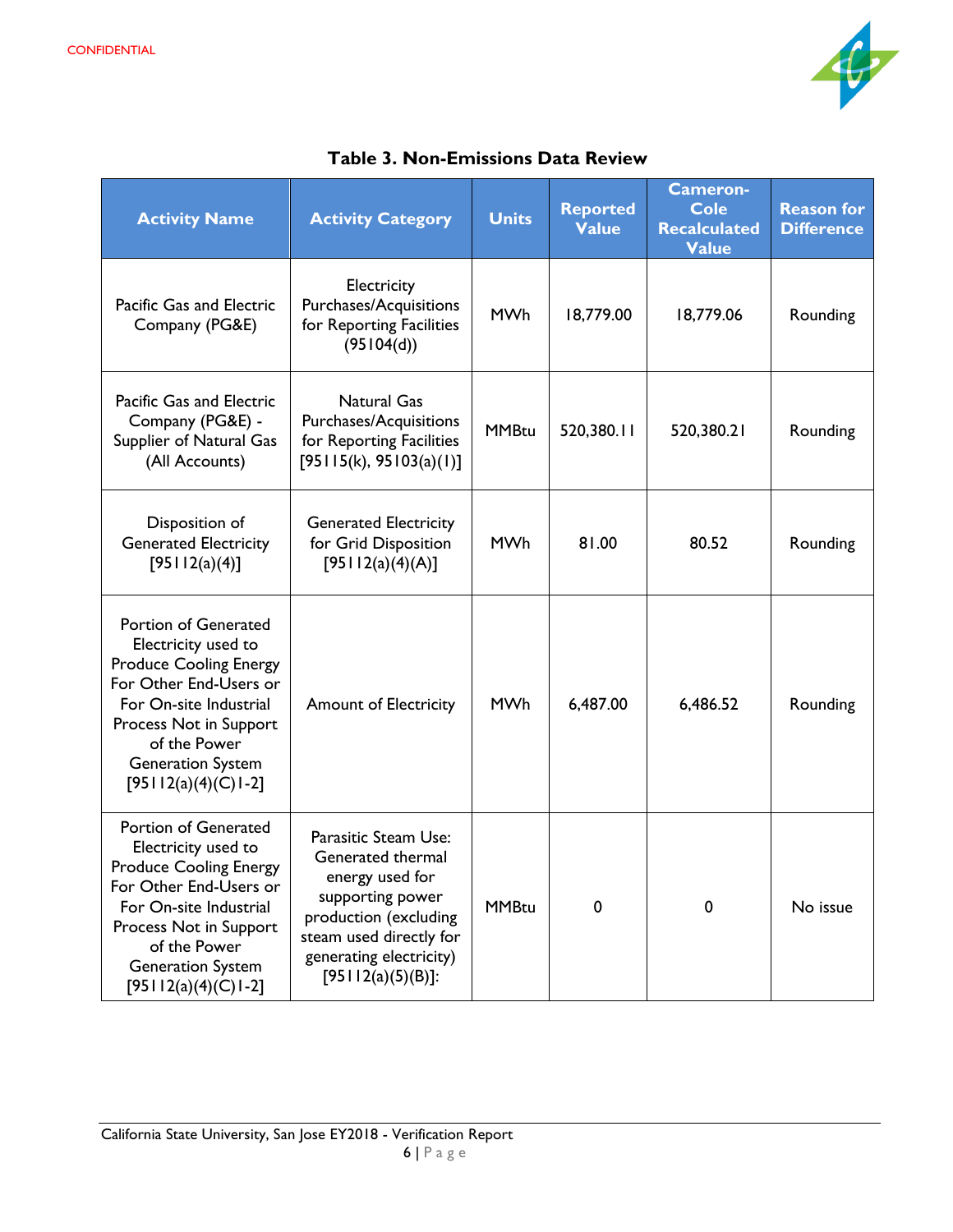

| <b>Activity Name</b>                                                                                                                                                                                                                | <b>Activity Category</b>                                                                                                                                                                | <b>Units</b> | <b>Reported</b><br><b>Value</b> | <b>Cameron-</b><br><b>Cole</b><br><b>Recalculated</b><br>Value | <b>Reason for</b><br><b>Difference</b> |
|-------------------------------------------------------------------------------------------------------------------------------------------------------------------------------------------------------------------------------------|-----------------------------------------------------------------------------------------------------------------------------------------------------------------------------------------|--------------|---------------------------------|----------------------------------------------------------------|----------------------------------------|
| Pacific Gas and Electric<br>Company (PG&E)                                                                                                                                                                                          | Electricity<br>Purchases/Acquisitions<br>for Reporting Facilities<br>(95104(d))                                                                                                         | <b>MWh</b>   | 18,779.00                       | 18,779.06                                                      | Rounding                               |
| Pacific Gas and Electric<br>Company (PG&E) -<br>Supplier of Natural Gas<br>(All Accounts)                                                                                                                                           | <b>Natural Gas</b><br>Purchases/Acquisitions<br>for Reporting Facilities<br>[95115(k), 95103(a)(1)]                                                                                     | <b>MMBtu</b> | 520,380.11                      | 520,380.21                                                     | Rounding                               |
| Disposition of<br><b>Generated Electricity</b><br>[95112(a)(4)]                                                                                                                                                                     | <b>Generated Electricity</b><br>for Grid Disposition<br>[95112(a)(4)(A)]                                                                                                                | <b>MWh</b>   | 81.00                           | 80.52                                                          | Rounding                               |
| Portion of Generated<br>Electricity used to<br><b>Produce Cooling Energy</b><br>For Other End-Users or<br>For On-site Industrial<br>Process Not in Support<br>of the Power<br><b>Generation System</b><br>$[95112(a)(4)(C)1-2]$     | <b>Amount of Electricity</b>                                                                                                                                                            | <b>MWh</b>   | 6,487.00                        | 6,486.52                                                       | Rounding                               |
| Portion of Generated<br>Electricity used to<br><b>Produce Cooling Energy</b><br>For Other End-Users or<br>For On-site Industrial<br>Process Not in Support<br>of the Power<br><b>Generation System</b><br>[95   $12(a)(4)(C)$   -2] | Parasitic Steam Use:<br>Generated thermal<br>energy used for<br>supporting power<br>production (excluding<br>steam used directly for<br>generating electricity)<br>$[95112(a)(5)(B)]$ : | <b>MMBtu</b> | 0                               | 0                                                              | No issue                               |

|  | <b>Table 3. Non-Emissions Data Review</b> |  |
|--|-------------------------------------------|--|
|--|-------------------------------------------|--|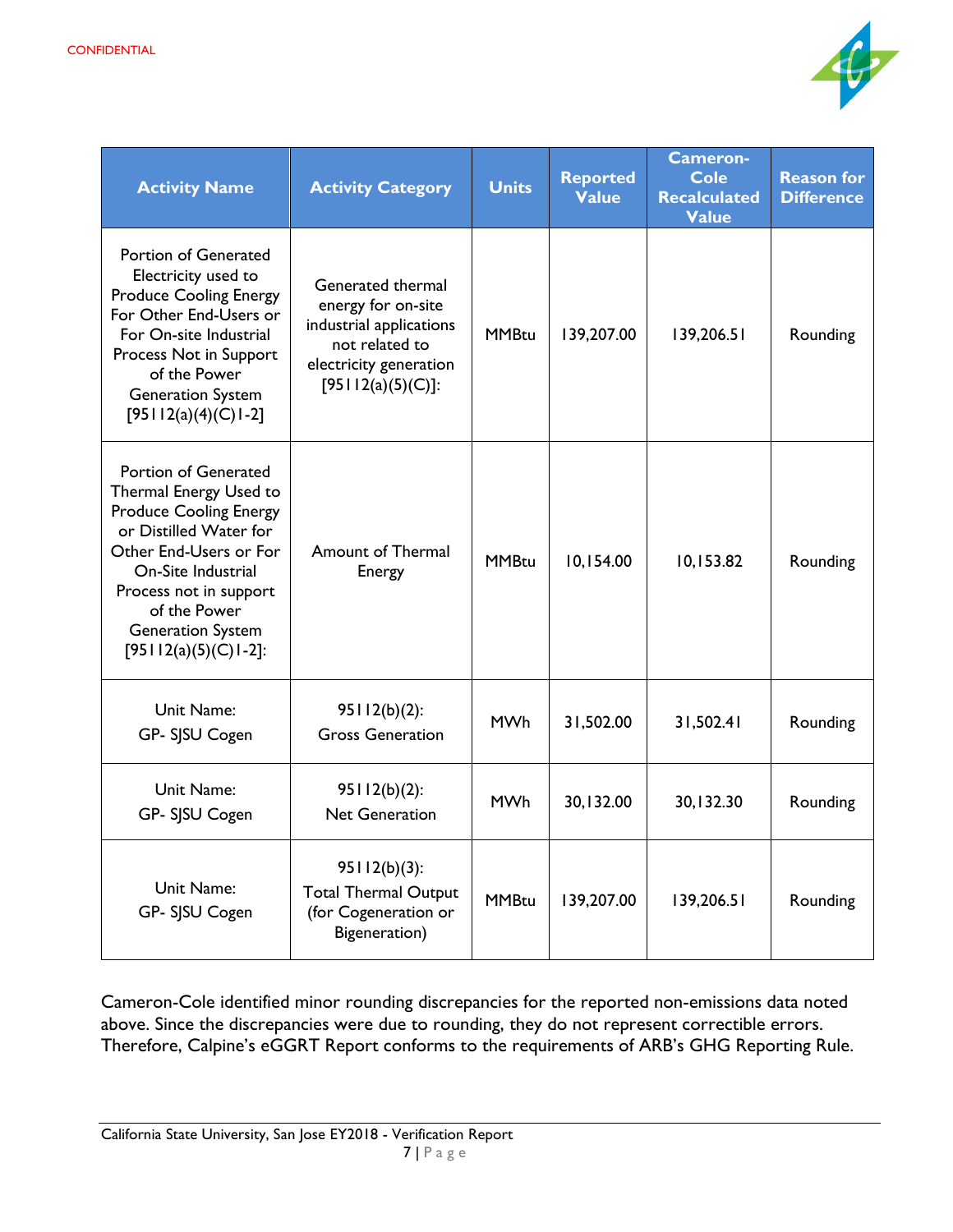

| <b>Activity Name</b>                                                                                                                                                                                                                                          | <b>Activity Category</b>                                                                                                            | <b>Units</b> | <b>Reported</b><br><b>Value</b> | <b>Cameron-</b><br><b>Cole</b><br><b>Recalculated</b><br><b>Value</b> | <b>Reason for</b><br><b>Difference</b> |
|---------------------------------------------------------------------------------------------------------------------------------------------------------------------------------------------------------------------------------------------------------------|-------------------------------------------------------------------------------------------------------------------------------------|--------------|---------------------------------|-----------------------------------------------------------------------|----------------------------------------|
| Portion of Generated<br>Electricity used to<br><b>Produce Cooling Energy</b><br>For Other End-Users or<br>For On-site Industrial<br>Process Not in Support<br>of the Power<br><b>Generation System</b><br>$[95112(a)(4)(C)1-2]$                               | Generated thermal<br>energy for on-site<br>industrial applications<br>not related to<br>electricity generation<br>[95112(a)(5)(C)]: | <b>MMBtu</b> | 139,207.00                      | 139,206.51                                                            | Rounding                               |
| Portion of Generated<br>Thermal Energy Used to<br><b>Produce Cooling Energy</b><br>or Distilled Water for<br>Other End-Users or For<br>On-Site Industrial<br>Process not in support<br>of the Power<br><b>Generation System</b><br>[95   $12(a)(5)(C)$   -2]: | Amount of Thermal<br>Energy                                                                                                         | <b>MMBtu</b> | 10,154.00                       | 10,153.82                                                             | Rounding                               |
| Unit Name:<br>GP- SJSU Cogen                                                                                                                                                                                                                                  | $95112(b)(2)$ :<br><b>Gross Generation</b>                                                                                          | <b>MWh</b>   | 31,502.00                       | 31,502.41                                                             | Rounding                               |
| Unit Name:<br>GP- SJSU Cogen                                                                                                                                                                                                                                  | $95112(b)(2)$ :<br><b>Net Generation</b>                                                                                            | <b>MWh</b>   | 30,132.00                       | 30,132.30                                                             | Rounding                               |
| Unit Name:<br>GP- SJSU Cogen                                                                                                                                                                                                                                  | $95112(b)(3)$ :<br><b>Total Thermal Output</b><br>(for Cogeneration or<br>Bigeneration)                                             | <b>MMBtu</b> | 139,207.00                      | 139,206.51                                                            | Rounding                               |

Cameron-Cole identified minor rounding discrepancies for the reported non-emissions data noted above. Since the discrepancies were due to rounding, they do not represent correctible errors. Therefore, Calpine's eGGRT Report conforms to the requirements of ARB's GHG Reporting Rule.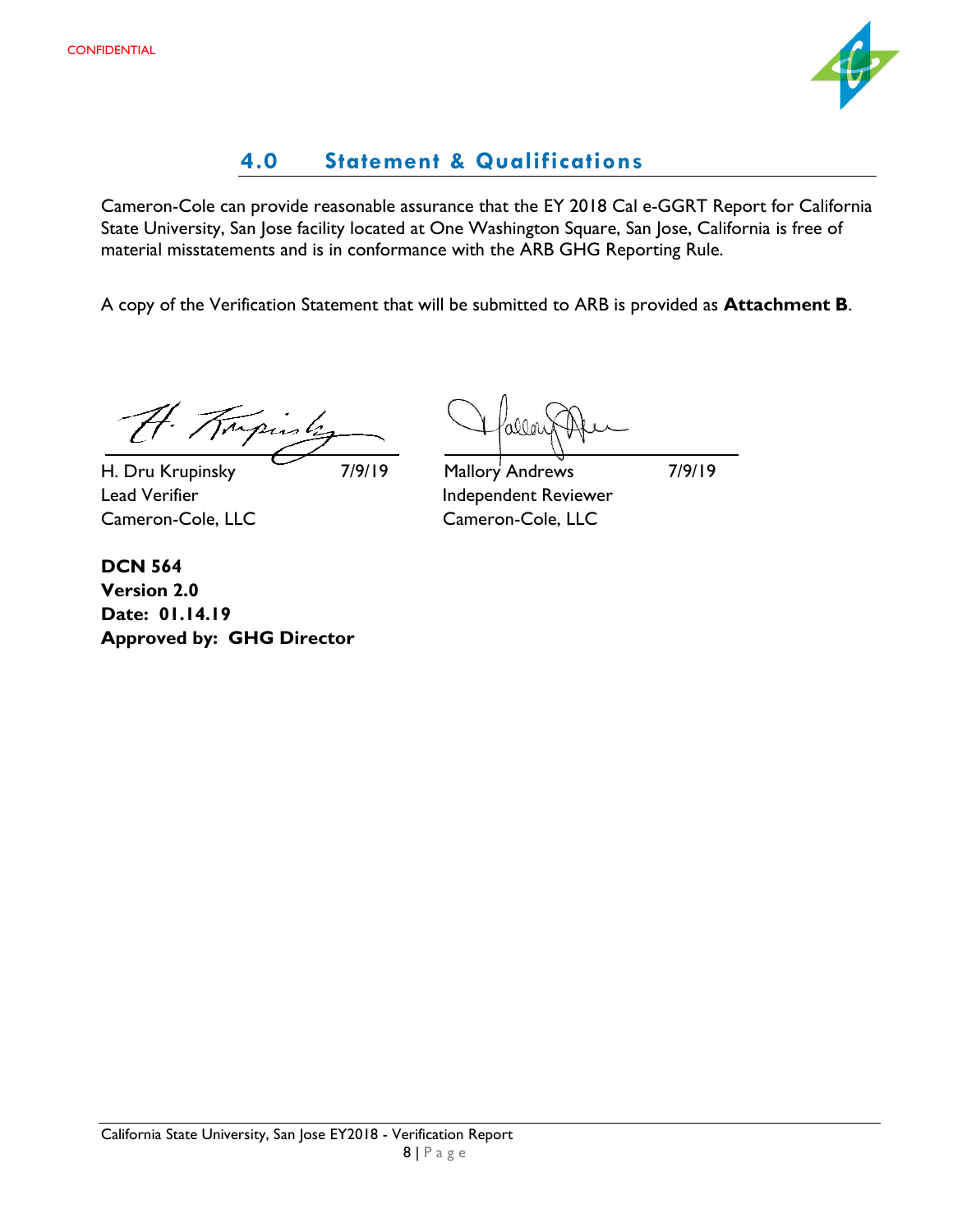

# **4.0 Statement & Qualifications**

<span id="page-9-0"></span>Cameron-Cole can provide reasonable assurance that the EY 2018 Cal e-GGRT Report for California State University, San Jose facility located at One Washington Square, San Jose, California is free of material misstatements and is in conformance with the ARB GHG Reporting Rule.

A copy of the Verification Statement that will be submitted to ARB is provided as **Attachment B**.

H. Tripinly

H. Dru Krupinsky 7/9/19 Mallory Andrews 7/9/19 Lead Verifier **Independent Reviewer** Cameron-Cole, LLC Cameron-Cole, LLC

**DCN 564 Version 2.0 Date: 01.14.19 Approved by: GHG Director**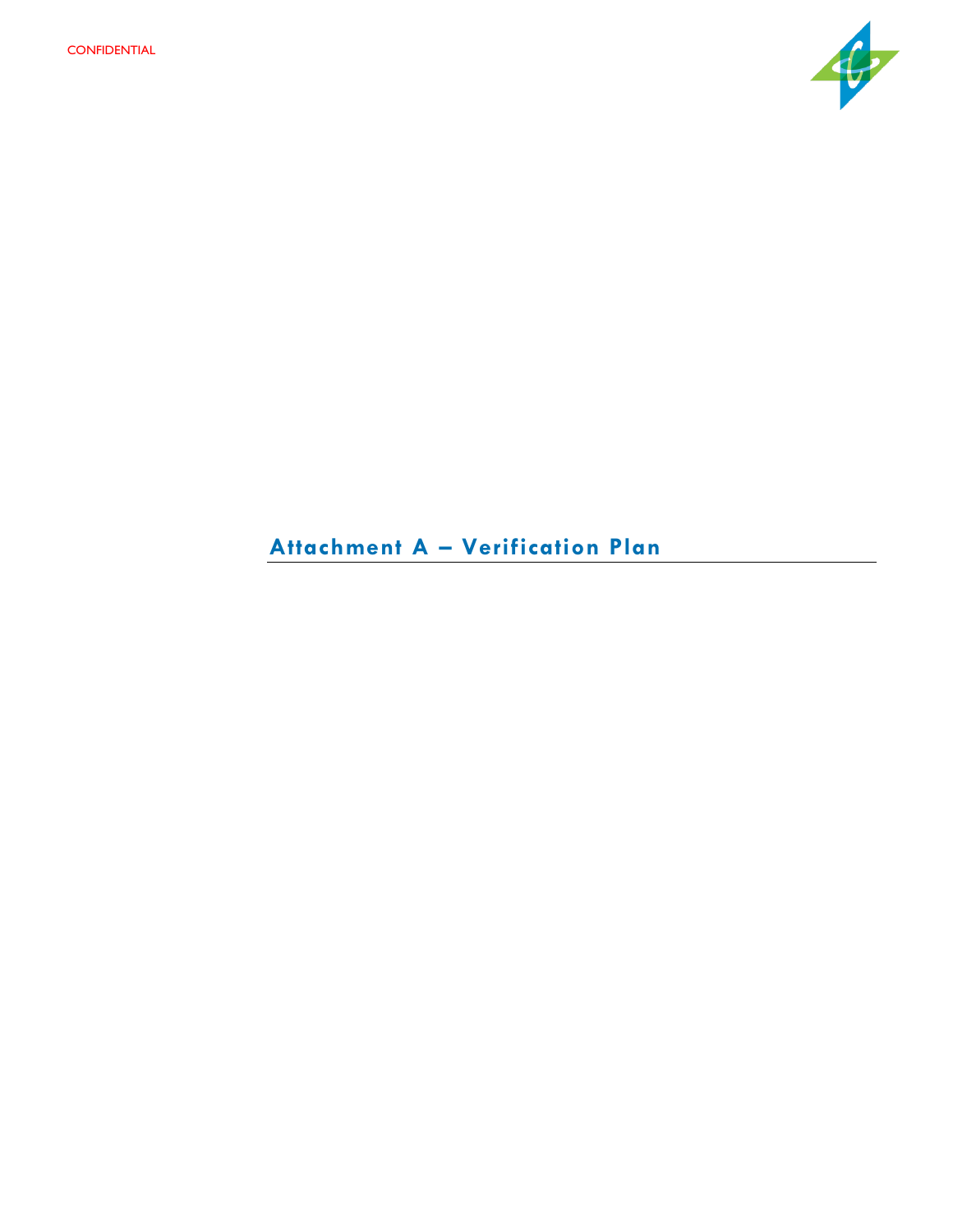

# **Attachment A – Verification Plan**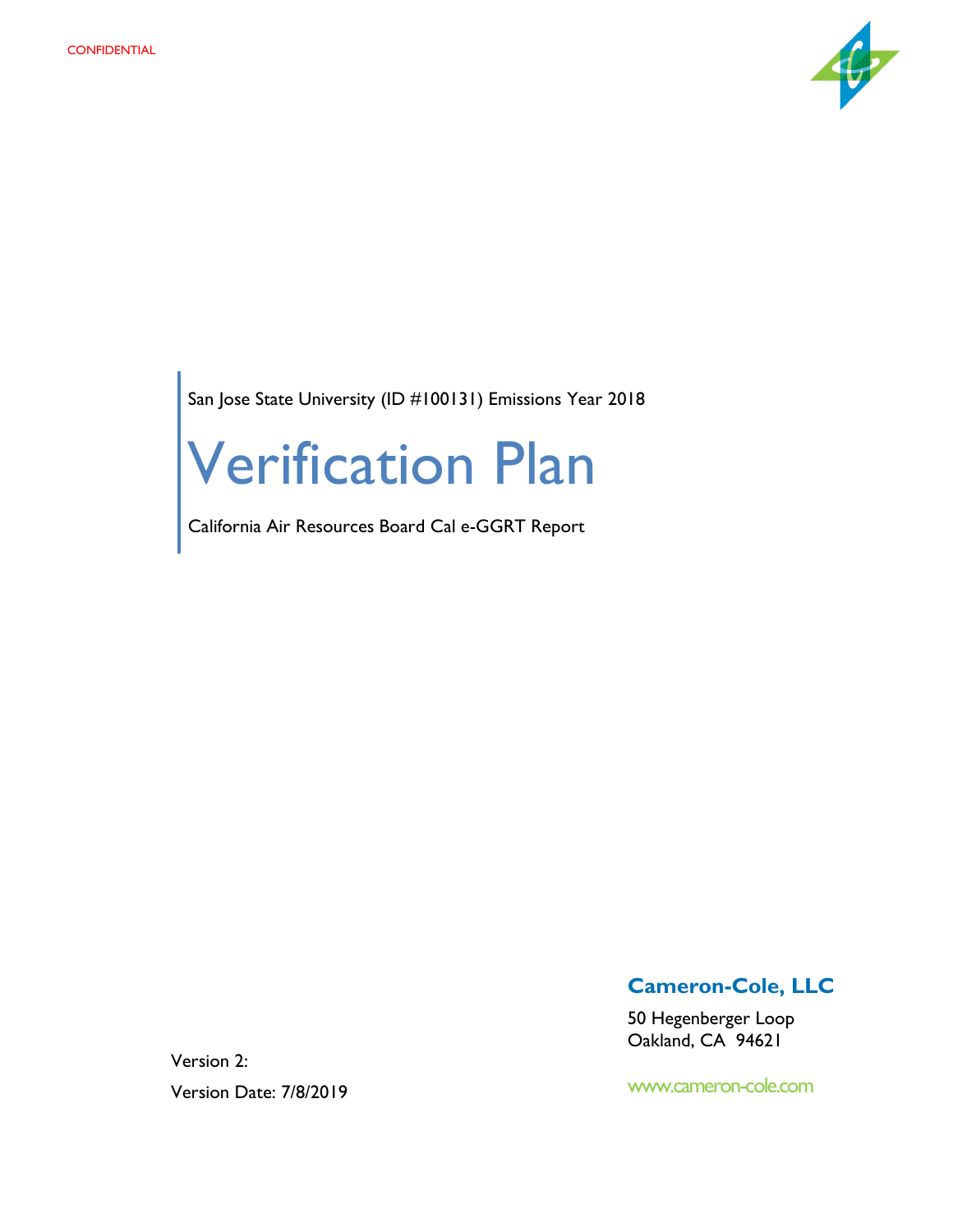

San Jose State University (ID #100131) Emissions Year 2018

# Verification Plan

California Air Resources Board Cal e-GGRT Report

**Cameron-Cole, LLC**

50 Hegenberger Loop Oakland, CA 94621

www.cameron-cole.com

Version 2: Version Date: 7/8/2019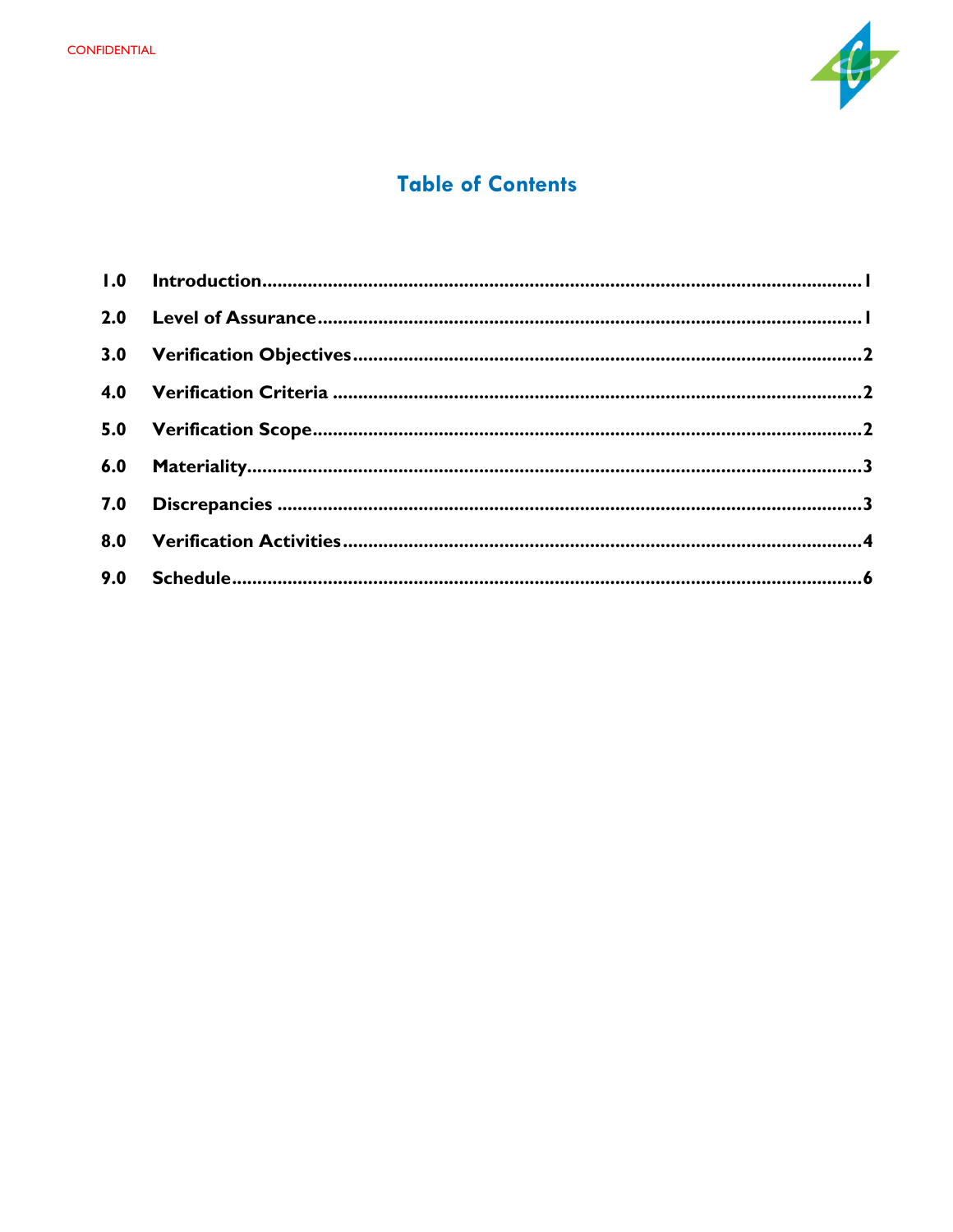

# **Table of Contents**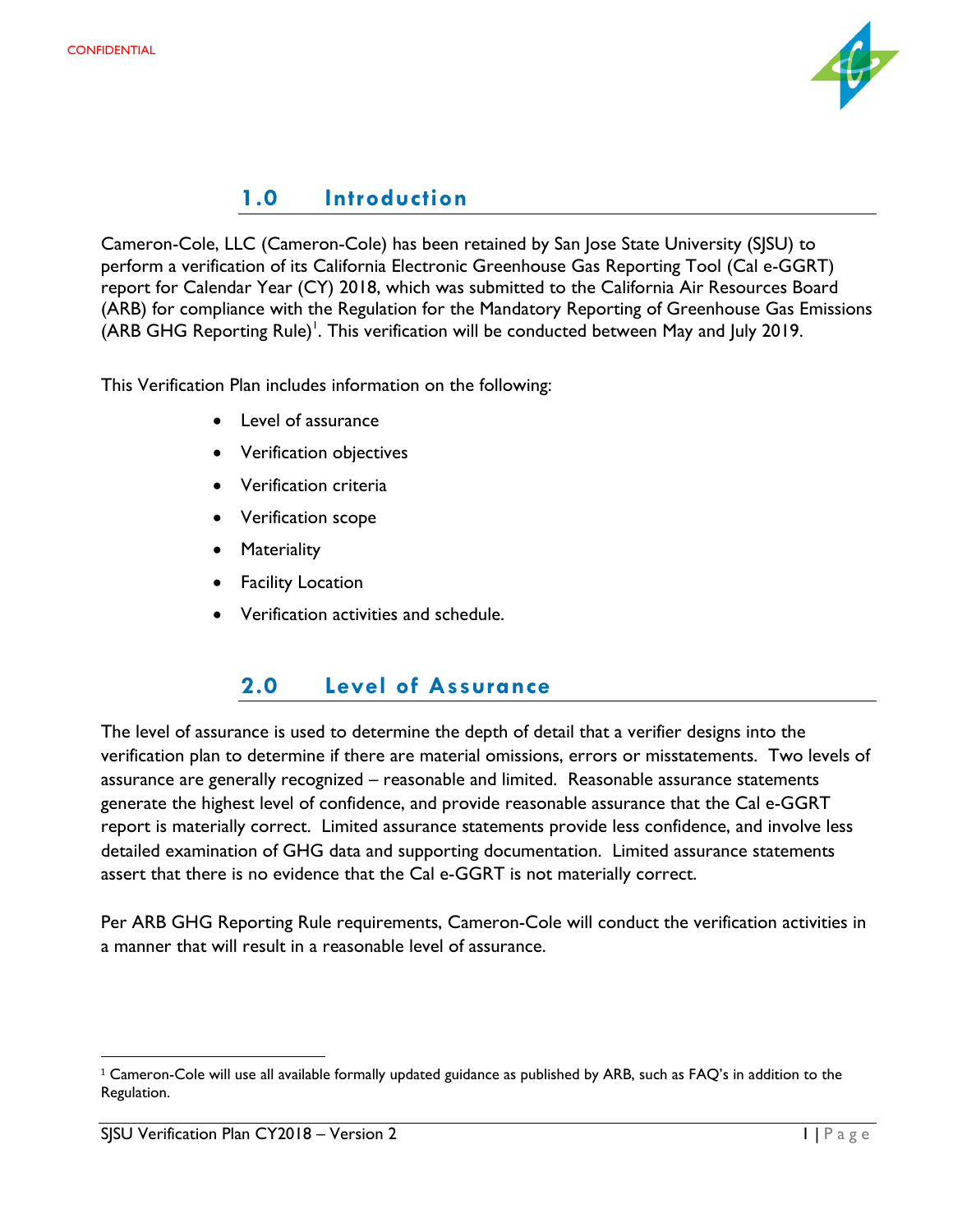

#### **1.0 Introduction**

<span id="page-13-0"></span>Cameron-Cole, LLC (Cameron-Cole) has been retained by San Jose State University (SJSU) to perform a verification of its California Electronic Greenhouse Gas Reporting Tool (Cal e-GGRT) report for Calendar Year (CY) 2018, which was submitted to the California Air Resources Board (ARB) for compliance with the Regulation for the Mandatory Reporting of Greenhouse Gas Emissions (ARB GHG Reporting Rule)<sup>1</sup>. This verification will be conducted between May and July 2019.

This Verification Plan includes information on the following:

- Level of assurance
- Verification objectives
- Verification criteria
- Verification scope
- Materiality
- **Facility Location**
- Verification activities and schedule.

# **2.0 Level of Assurance**

<span id="page-13-1"></span>The level of assurance is used to determine the depth of detail that a verifier designs into the verification plan to determine if there are material omissions, errors or misstatements. Two levels of assurance are generally recognized – reasonable and limited. Reasonable assurance statements generate the highest level of confidence, and provide reasonable assurance that the Cal e-GGRT report is materially correct. Limited assurance statements provide less confidence, and involve less detailed examination of GHG data and supporting documentation. Limited assurance statements assert that there is no evidence that the Cal e-GGRT is not materially correct.

Per ARB GHG Reporting Rule requirements, Cameron-Cole will conduct the verification activities in a manner that will result in a reasonable level of assurance.

 $\overline{\phantom{a}}$ 

 $1$  Cameron-Cole will use all available formally updated guidance as published by ARB, such as FAQ's in addition to the Regulation.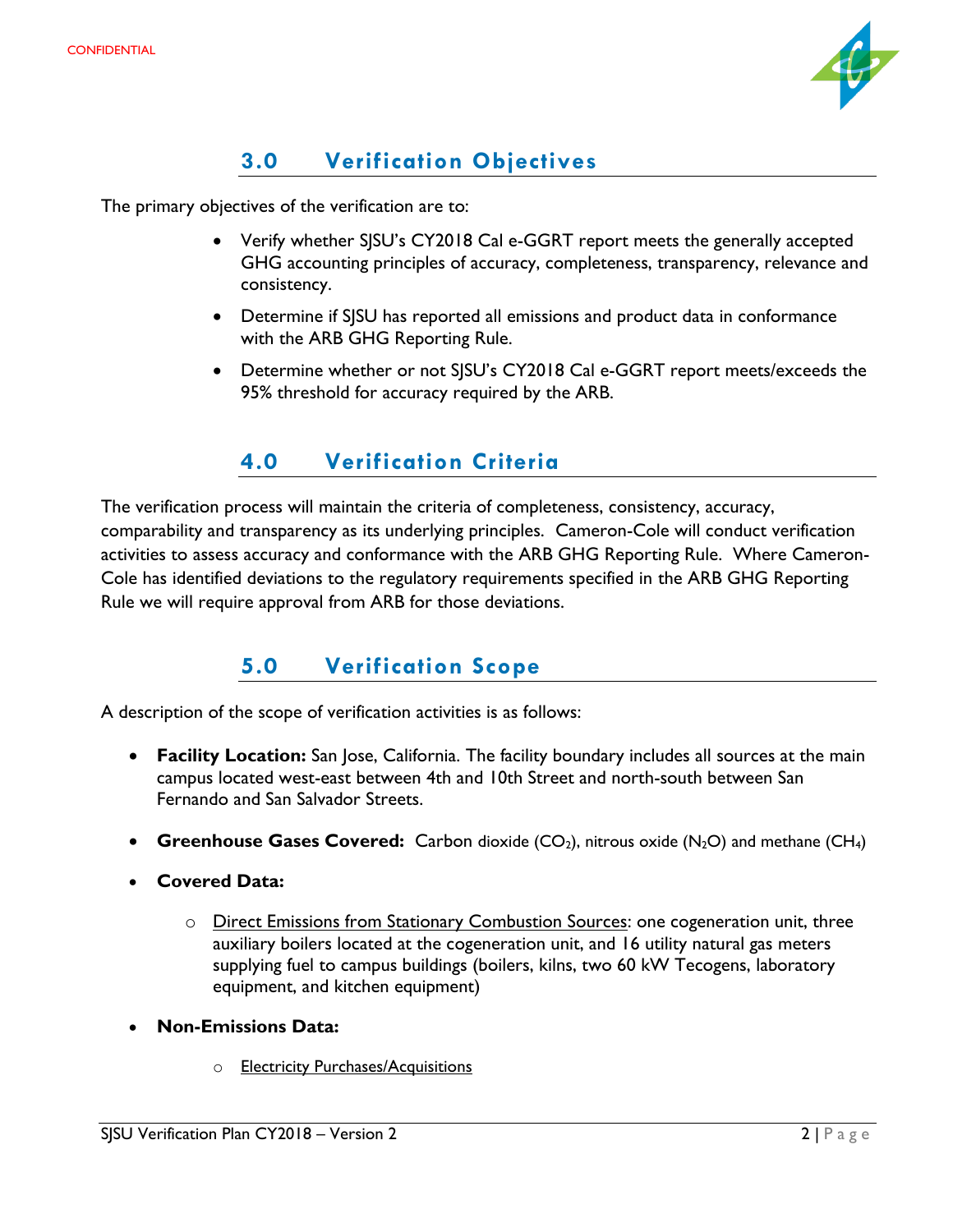

# **3.0 Verification Objectives**

<span id="page-14-0"></span>The primary objectives of the verification are to:

- Verify whether SJSU's CY2018 Cal e-GGRT report meets the generally accepted GHG accounting principles of accuracy, completeness, transparency, relevance and consistency.
- Determine if SJSU has reported all emissions and product data in conformance with the ARB GHG Reporting Rule.
- Determine whether or not SJSU's CY2018 Cal e-GGRT report meets/exceeds the 95% threshold for accuracy required by the ARB.

# **4.0 Verification Criteria**

<span id="page-14-1"></span>The verification process will maintain the criteria of completeness, consistency, accuracy, comparability and transparency as its underlying principles. Cameron-Cole will conduct verification activities to assess accuracy and conformance with the ARB GHG Reporting Rule. Where Cameron-Cole has identified deviations to the regulatory requirements specified in the ARB GHG Reporting Rule we will require approval from ARB for those deviations.

# **5.0 Verification Scope**

<span id="page-14-2"></span>A description of the scope of verification activities is as follows:

- **Facility Location:** San Jose, California. The facility boundary includes all sources at the main campus located west-east between 4th and 10th Street and north-south between San Fernando and San Salvador Streets.
- **Greenhouse Gases Covered:** Carbon dioxide  $(CO_2)$ , nitrous oxide  $(N_2O)$  and methane  $(CH_4)$
- **Covered Data:**
	- o Direct Emissions from Stationary Combustion Sources: one cogeneration unit, three auxiliary boilers located at the cogeneration unit, and 16 utility natural gas meters supplying fuel to campus buildings (boilers, kilns, two 60 kW Tecogens, laboratory equipment, and kitchen equipment)
- **Non-Emissions Data:**
	- o **Electricity Purchases/Acquisitions**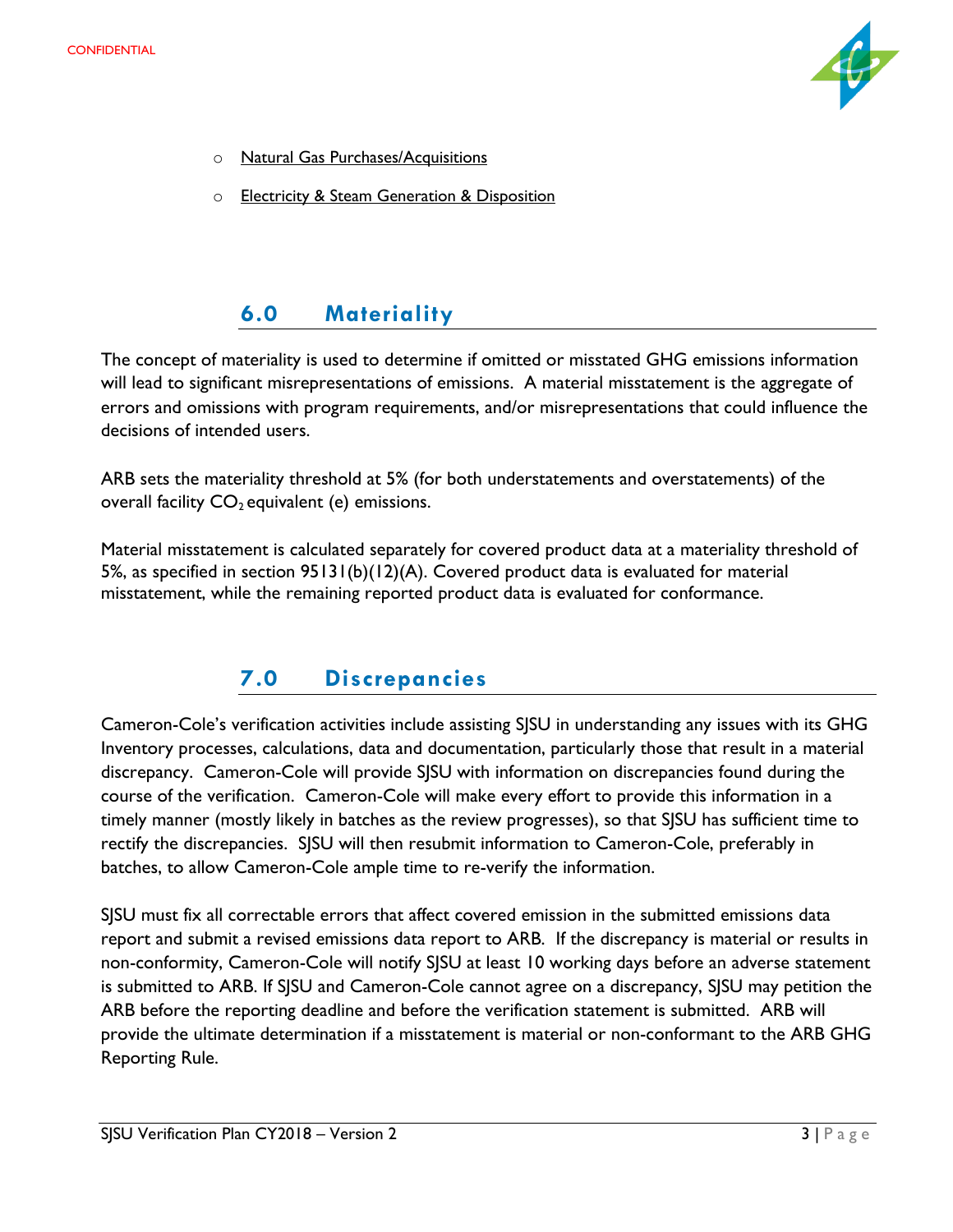

- o Natural Gas Purchases/Acquisitions
- o Electricity & Steam Generation & Disposition

# **6.0 Materiality**

<span id="page-15-0"></span>The concept of materiality is used to determine if omitted or misstated GHG emissions information will lead to significant misrepresentations of emissions. A material misstatement is the aggregate of errors and omissions with program requirements, and/or misrepresentations that could influence the decisions of intended users.

ARB sets the materiality threshold at 5% (for both understatements and overstatements) of the overall facility  $CO<sub>2</sub>$  equivalent (e) emissions.

Material misstatement is calculated separately for covered product data at a materiality threshold of 5%, as specified in section 95131(b)(12)(A). Covered product data is evaluated for material misstatement, while the remaining reported product data is evaluated for conformance.

# **7.0 Discrepancies**

<span id="page-15-1"></span>Cameron-Cole's verification activities include assisting SJSU in understanding any issues with its GHG Inventory processes, calculations, data and documentation, particularly those that result in a material discrepancy. Cameron-Cole will provide SJSU with information on discrepancies found during the course of the verification. Cameron-Cole will make every effort to provide this information in a timely manner (mostly likely in batches as the review progresses), so that SJSU has sufficient time to rectify the discrepancies. SJSU will then resubmit information to Cameron-Cole, preferably in batches, to allow Cameron-Cole ample time to re-verify the information.

SJSU must fix all correctable errors that affect covered emission in the submitted emissions data report and submit a revised emissions data report to ARB. If the discrepancy is material or results in non-conformity, Cameron-Cole will notify SJSU at least 10 working days before an adverse statement is submitted to ARB. If SJSU and Cameron-Cole cannot agree on a discrepancy, SJSU may petition the ARB before the reporting deadline and before the verification statement is submitted. ARB will provide the ultimate determination if a misstatement is material or non-conformant to the ARB GHG Reporting Rule.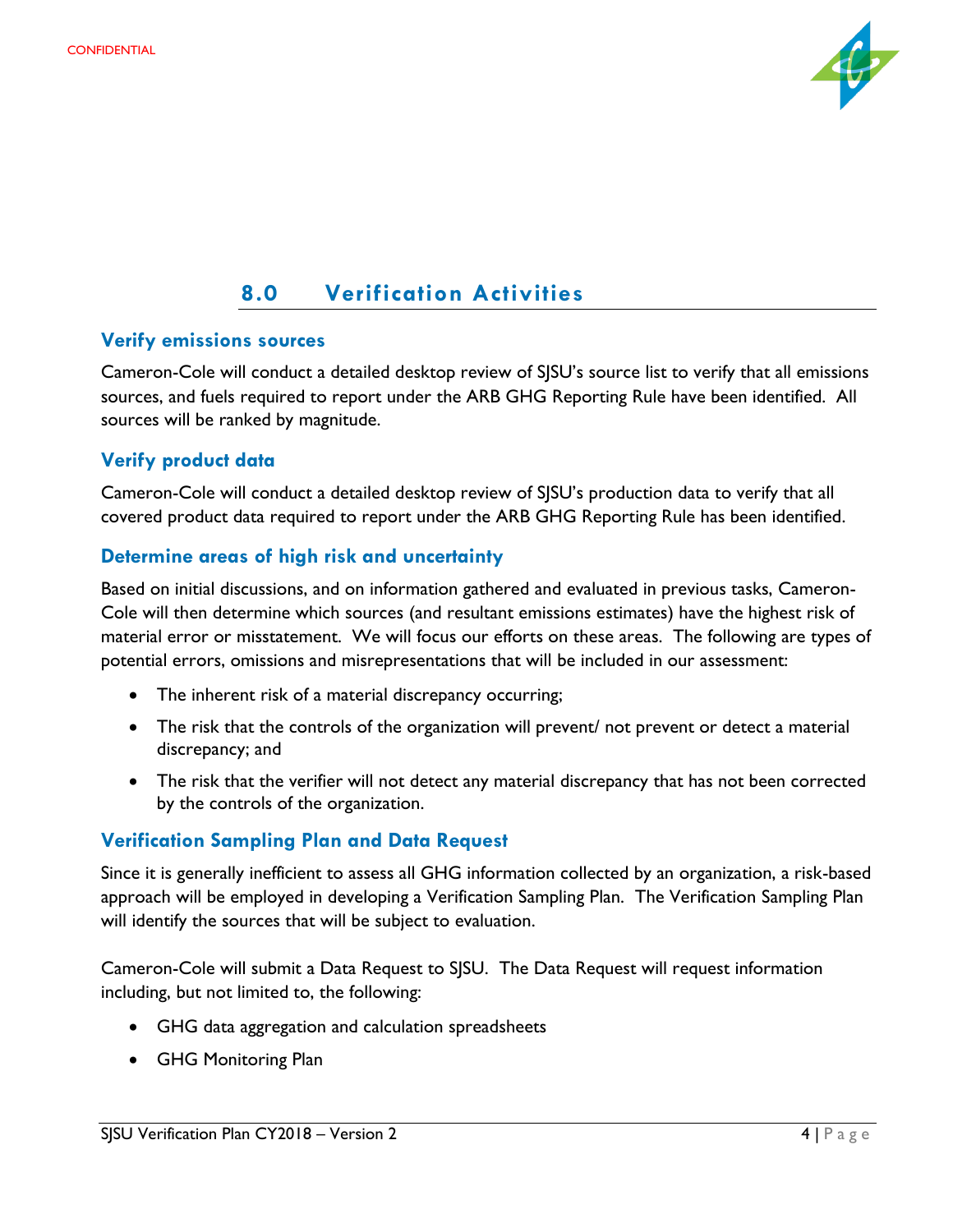

# **8.0 Verification Activities**

#### <span id="page-16-0"></span>**Verify emissions sources**

Cameron-Cole will conduct a detailed desktop review of SJSU's source list to verify that all emissions sources, and fuels required to report under the ARB GHG Reporting Rule have been identified. All sources will be ranked by magnitude.

#### **Verify product data**

Cameron-Cole will conduct a detailed desktop review of SJSU's production data to verify that all covered product data required to report under the ARB GHG Reporting Rule has been identified.

#### **Determine areas of high risk and uncertainty**

Based on initial discussions, and on information gathered and evaluated in previous tasks, Cameron-Cole will then determine which sources (and resultant emissions estimates) have the highest risk of material error or misstatement. We will focus our efforts on these areas. The following are types of potential errors, omissions and misrepresentations that will be included in our assessment:

- The inherent risk of a material discrepancy occurring;
- The risk that the controls of the organization will prevent/ not prevent or detect a material discrepancy; and
- The risk that the verifier will not detect any material discrepancy that has not been corrected by the controls of the organization.

#### **Verification Sampling Plan and Data Request**

Since it is generally inefficient to assess all GHG information collected by an organization, a risk-based approach will be employed in developing a Verification Sampling Plan. The Verification Sampling Plan will identify the sources that will be subject to evaluation.

Cameron-Cole will submit a Data Request to SJSU. The Data Request will request information including, but not limited to, the following:

- GHG data aggregation and calculation spreadsheets
- GHG Monitoring Plan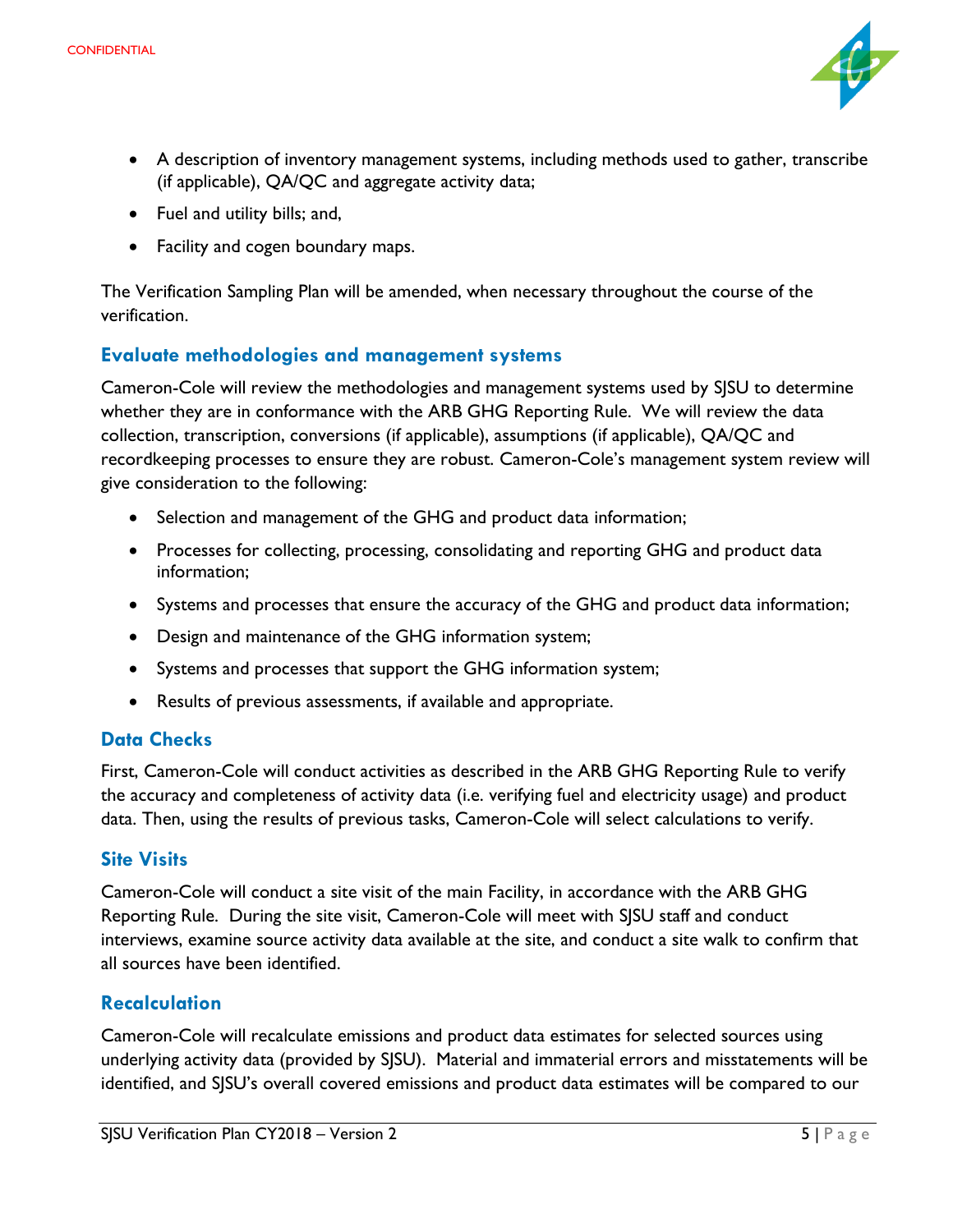

- A description of inventory management systems, including methods used to gather, transcribe (if applicable), QA/QC and aggregate activity data;
- Fuel and utility bills; and,
- Facility and cogen boundary maps.

The Verification Sampling Plan will be amended, when necessary throughout the course of the verification.

#### **Evaluate methodologies and management systems**

Cameron-Cole will review the methodologies and management systems used by SJSU to determine whether they are in conformance with the ARB GHG Reporting Rule. We will review the data collection, transcription, conversions (if applicable), assumptions (if applicable), QA/QC and recordkeeping processes to ensure they are robust. Cameron-Cole's management system review will give consideration to the following:

- Selection and management of the GHG and product data information;
- Processes for collecting, processing, consolidating and reporting GHG and product data information;
- Systems and processes that ensure the accuracy of the GHG and product data information;
- Design and maintenance of the GHG information system;
- Systems and processes that support the GHG information system;
- Results of previous assessments, if available and appropriate.

#### **Data Checks**

First, Cameron-Cole will conduct activities as described in the ARB GHG Reporting Rule to verify the accuracy and completeness of activity data (i.e. verifying fuel and electricity usage) and product data. Then, using the results of previous tasks, Cameron-Cole will select calculations to verify.

#### **Site Visits**

Cameron-Cole will conduct a site visit of the main Facility, in accordance with the ARB GHG Reporting Rule. During the site visit, Cameron-Cole will meet with SJSU staff and conduct interviews, examine source activity data available at the site, and conduct a site walk to confirm that all sources have been identified.

#### **Recalculation**

Cameron-Cole will recalculate emissions and product data estimates for selected sources using underlying activity data (provided by SJSU). Material and immaterial errors and misstatements will be identified, and SJSU's overall covered emissions and product data estimates will be compared to our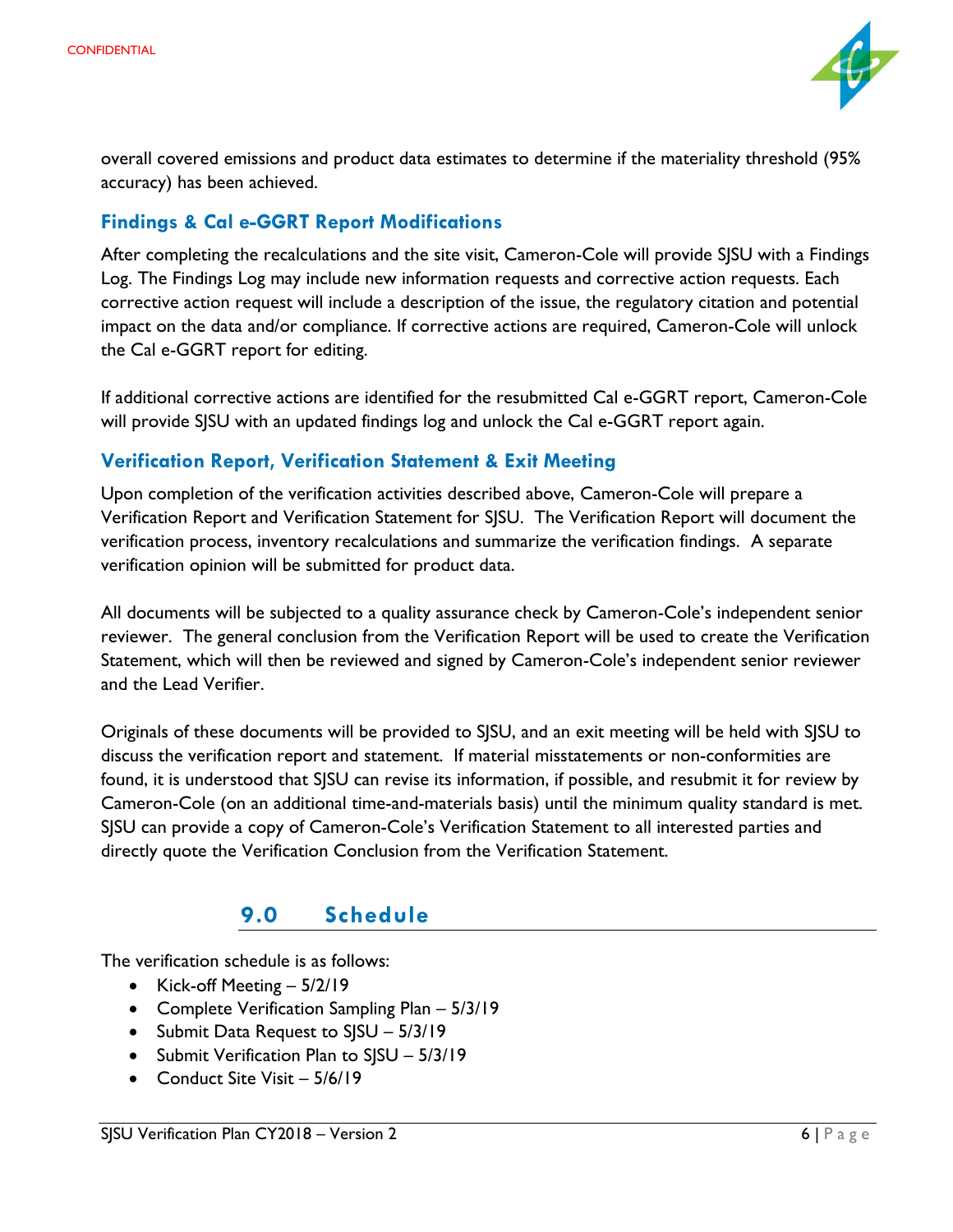

overall covered emissions and product data estimates to determine if the materiality threshold (95% accuracy) has been achieved.

#### **Findings & Cal e-GGRT Report Modifications**

After completing the recalculations and the site visit, Cameron-Cole will provide SJSU with a Findings Log. The Findings Log may include new information requests and corrective action requests. Each corrective action request will include a description of the issue, the regulatory citation and potential impact on the data and/or compliance. If corrective actions are required, Cameron-Cole will unlock the Cal e-GGRT report for editing.

If additional corrective actions are identified for the resubmitted Cal e-GGRT report, Cameron-Cole will provide SJSU with an updated findings log and unlock the Cal e-GGRT report again.

#### **Verification Report, Verification Statement & Exit Meeting**

Upon completion of the verification activities described above, Cameron-Cole will prepare a Verification Report and Verification Statement for SJSU. The Verification Report will document the verification process, inventory recalculations and summarize the verification findings. A separate verification opinion will be submitted for product data.

All documents will be subjected to a quality assurance check by Cameron-Cole's independent senior reviewer. The general conclusion from the Verification Report will be used to create the Verification Statement, which will then be reviewed and signed by Cameron-Cole's independent senior reviewer and the Lead Verifier.

Originals of these documents will be provided to SJSU, and an exit meeting will be held with SJSU to discuss the verification report and statement. If material misstatements or non-conformities are found, it is understood that SJSU can revise its information, if possible, and resubmit it for review by Cameron-Cole (on an additional time-and-materials basis) until the minimum quality standard is met. SJSU can provide a copy of Cameron-Cole's Verification Statement to all interested parties and directly quote the Verification Conclusion from the Verification Statement.

#### **9.0 Schedule**

<span id="page-18-0"></span>The verification schedule is as follows:

- Kick-off Meeting 5/2/19
- Complete Verification Sampling Plan 5/3/19
- Submit Data Request to SJSU 5/3/19
- Submit Verification Plan to SJSU 5/3/19
- Conduct Site Visit 5/6/19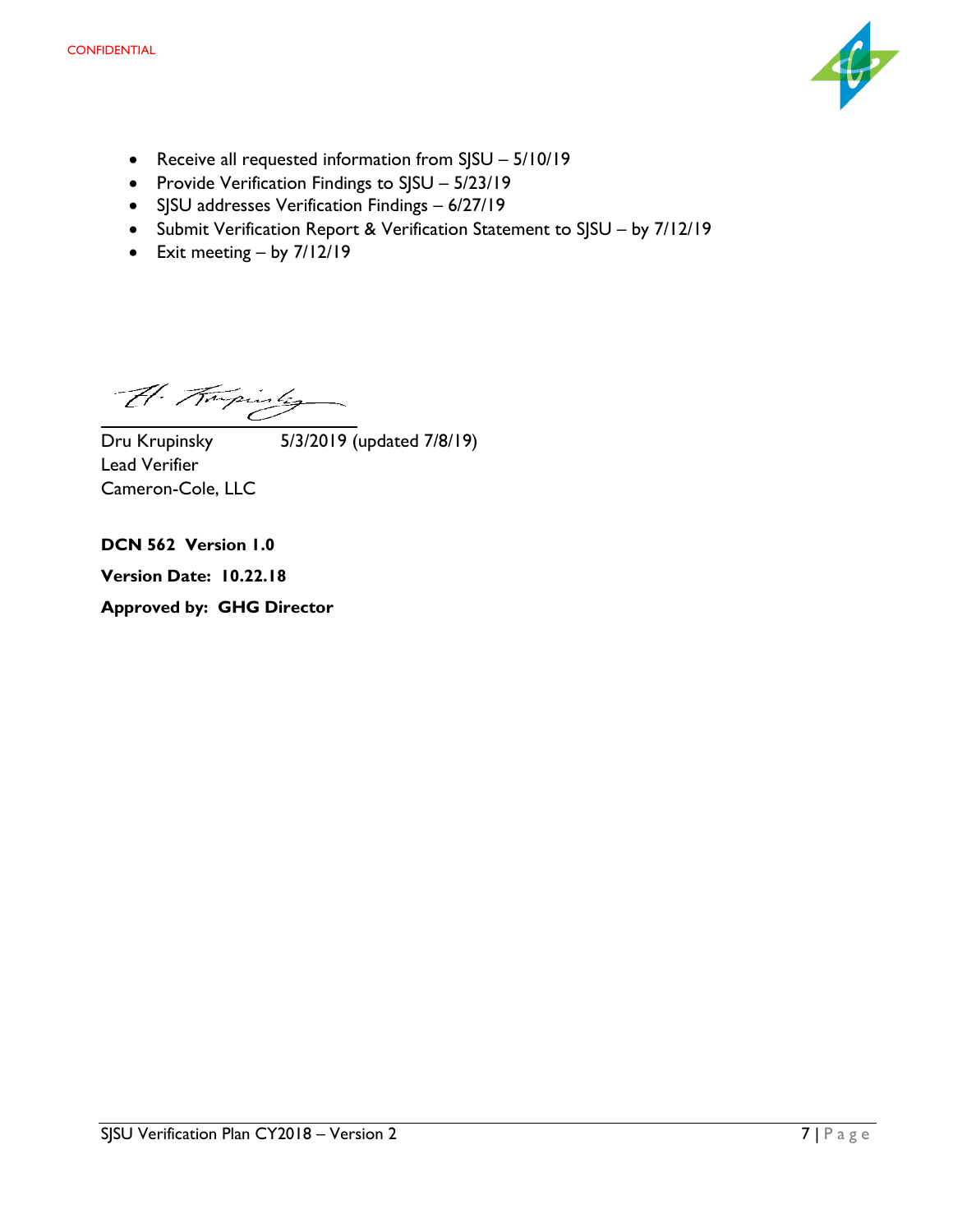

- Receive all requested information from SJSU 5/10/19
- Provide Verification Findings to SJSU 5/23/19
- SJSU addresses Verification Findings 6/27/19
- Submit Verification Report & Verification Statement to SJSU by 7/12/19
- Exit meeting by 7/12/19

 $\overline{\mathcal{U}}$  Trupinsky 5/3/2019 (updated 7/8/19) Lead Verifier Cameron-Cole, LLC

**DCN 562 Version 1.0**

**Version Date: 10.22.18**

**Approved by: GHG Director**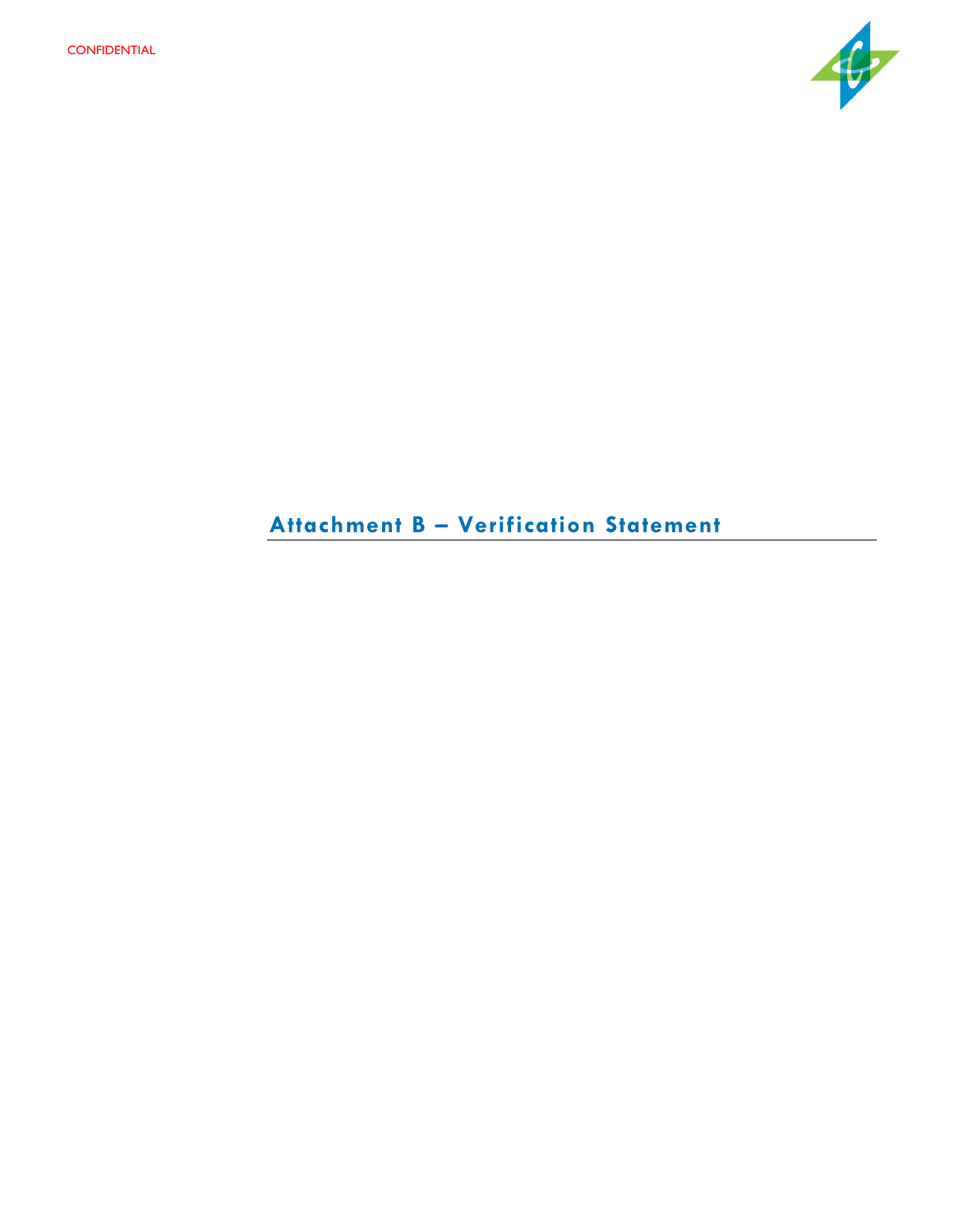

# **Attachment B – Verification Statement**